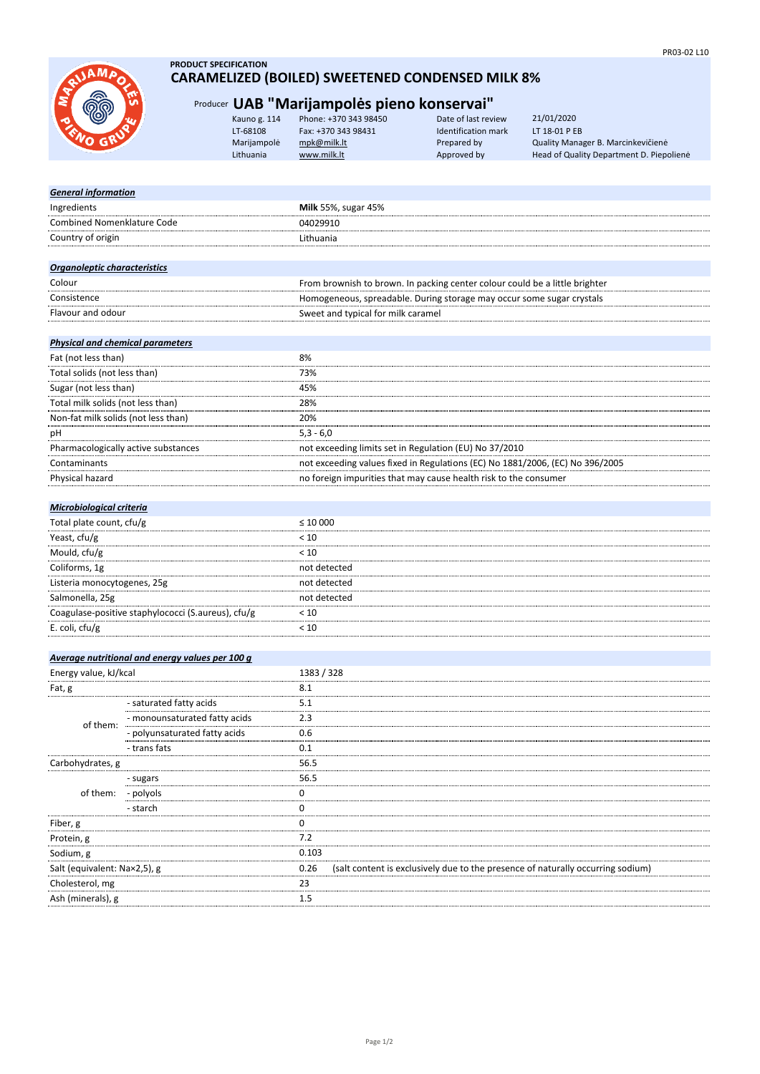

# **PRODUCT SPECIFICATION CARAMELIZED (BOILED) SWEETENED CONDENSED MILK 8%**

# Producer **UAB "Marijampolės pieno konservai"**

| Kauno g. 114 | Phone: +370 343 98450 | Date of last review | 21/01/2020                               |
|--------------|-----------------------|---------------------|------------------------------------------|
| LT-68108     | Fax: +370 343 98431   | Identification mark | LT 18-01 P EB                            |
| Marijampolė  | mpk@milk.lt           | Prepared by         | Quality Manager B. Marcinkevičienė       |
| Lithuania    | www.milk.lt           | Approved by         | Head of Quality Department D. Piepoliene |
|              |                       |                     |                                          |

| Ingredients<br>Milk 55%, sugar 45%<br><b>Combined Nomenklature Code</b><br>04029910<br>Country of origin<br>Lithuania<br>Organoleptic characteristics<br>Colour<br>From brownish to brown. In packing center colour could be a little brighter<br>Homogeneous, spreadable. During storage may occur some sugar crystals<br>Consistence<br>Sweet and typical for milk caramel<br>Flavour and odour<br><b>Physical and chemical parameters</b><br>Fat (not less than)<br>8%<br>Total solids (not less than)<br>73%<br>Sugar (not less than)<br>45%<br>Total milk solids (not less than)<br>28%<br>Non-fat milk solids (not less than)<br>20%<br>$5,3 - 6,0$<br>рH<br>Pharmacologically active substances<br>not exceeding limits set in Regulation (EU) No 37/2010<br>not exceeding values fixed in Regulations (EC) No 1881/2006, (EC) No 396/2005<br>Contaminants<br>Physical hazard<br>no foreign impurities that may cause health risk to the consumer<br>Microbiological criteria<br>Total plate count, cfu/g<br>$\leq 10000$<br>Yeast, cfu/g<br>< 10<br>Mould, cfu/g<br>< 10<br>Coliforms, 1g<br>not detected<br>Listeria monocytogenes, 25g<br>not detected<br>Salmonella, 25g<br>not detected<br>Coagulase-positive staphylococci (S.aureus), cfu/g<br>< 10<br>E. coli, cfu/g<br>< 10<br>Average nutritional and energy values per 100 g |
|------------------------------------------------------------------------------------------------------------------------------------------------------------------------------------------------------------------------------------------------------------------------------------------------------------------------------------------------------------------------------------------------------------------------------------------------------------------------------------------------------------------------------------------------------------------------------------------------------------------------------------------------------------------------------------------------------------------------------------------------------------------------------------------------------------------------------------------------------------------------------------------------------------------------------------------------------------------------------------------------------------------------------------------------------------------------------------------------------------------------------------------------------------------------------------------------------------------------------------------------------------------------------------------------------------------------------------------------|
|                                                                                                                                                                                                                                                                                                                                                                                                                                                                                                                                                                                                                                                                                                                                                                                                                                                                                                                                                                                                                                                                                                                                                                                                                                                                                                                                                |
|                                                                                                                                                                                                                                                                                                                                                                                                                                                                                                                                                                                                                                                                                                                                                                                                                                                                                                                                                                                                                                                                                                                                                                                                                                                                                                                                                |
|                                                                                                                                                                                                                                                                                                                                                                                                                                                                                                                                                                                                                                                                                                                                                                                                                                                                                                                                                                                                                                                                                                                                                                                                                                                                                                                                                |
|                                                                                                                                                                                                                                                                                                                                                                                                                                                                                                                                                                                                                                                                                                                                                                                                                                                                                                                                                                                                                                                                                                                                                                                                                                                                                                                                                |
|                                                                                                                                                                                                                                                                                                                                                                                                                                                                                                                                                                                                                                                                                                                                                                                                                                                                                                                                                                                                                                                                                                                                                                                                                                                                                                                                                |
|                                                                                                                                                                                                                                                                                                                                                                                                                                                                                                                                                                                                                                                                                                                                                                                                                                                                                                                                                                                                                                                                                                                                                                                                                                                                                                                                                |
|                                                                                                                                                                                                                                                                                                                                                                                                                                                                                                                                                                                                                                                                                                                                                                                                                                                                                                                                                                                                                                                                                                                                                                                                                                                                                                                                                |
|                                                                                                                                                                                                                                                                                                                                                                                                                                                                                                                                                                                                                                                                                                                                                                                                                                                                                                                                                                                                                                                                                                                                                                                                                                                                                                                                                |
|                                                                                                                                                                                                                                                                                                                                                                                                                                                                                                                                                                                                                                                                                                                                                                                                                                                                                                                                                                                                                                                                                                                                                                                                                                                                                                                                                |
|                                                                                                                                                                                                                                                                                                                                                                                                                                                                                                                                                                                                                                                                                                                                                                                                                                                                                                                                                                                                                                                                                                                                                                                                                                                                                                                                                |
|                                                                                                                                                                                                                                                                                                                                                                                                                                                                                                                                                                                                                                                                                                                                                                                                                                                                                                                                                                                                                                                                                                                                                                                                                                                                                                                                                |
|                                                                                                                                                                                                                                                                                                                                                                                                                                                                                                                                                                                                                                                                                                                                                                                                                                                                                                                                                                                                                                                                                                                                                                                                                                                                                                                                                |
|                                                                                                                                                                                                                                                                                                                                                                                                                                                                                                                                                                                                                                                                                                                                                                                                                                                                                                                                                                                                                                                                                                                                                                                                                                                                                                                                                |
|                                                                                                                                                                                                                                                                                                                                                                                                                                                                                                                                                                                                                                                                                                                                                                                                                                                                                                                                                                                                                                                                                                                                                                                                                                                                                                                                                |
|                                                                                                                                                                                                                                                                                                                                                                                                                                                                                                                                                                                                                                                                                                                                                                                                                                                                                                                                                                                                                                                                                                                                                                                                                                                                                                                                                |
|                                                                                                                                                                                                                                                                                                                                                                                                                                                                                                                                                                                                                                                                                                                                                                                                                                                                                                                                                                                                                                                                                                                                                                                                                                                                                                                                                |
|                                                                                                                                                                                                                                                                                                                                                                                                                                                                                                                                                                                                                                                                                                                                                                                                                                                                                                                                                                                                                                                                                                                                                                                                                                                                                                                                                |
|                                                                                                                                                                                                                                                                                                                                                                                                                                                                                                                                                                                                                                                                                                                                                                                                                                                                                                                                                                                                                                                                                                                                                                                                                                                                                                                                                |
|                                                                                                                                                                                                                                                                                                                                                                                                                                                                                                                                                                                                                                                                                                                                                                                                                                                                                                                                                                                                                                                                                                                                                                                                                                                                                                                                                |
|                                                                                                                                                                                                                                                                                                                                                                                                                                                                                                                                                                                                                                                                                                                                                                                                                                                                                                                                                                                                                                                                                                                                                                                                                                                                                                                                                |
|                                                                                                                                                                                                                                                                                                                                                                                                                                                                                                                                                                                                                                                                                                                                                                                                                                                                                                                                                                                                                                                                                                                                                                                                                                                                                                                                                |
|                                                                                                                                                                                                                                                                                                                                                                                                                                                                                                                                                                                                                                                                                                                                                                                                                                                                                                                                                                                                                                                                                                                                                                                                                                                                                                                                                |
|                                                                                                                                                                                                                                                                                                                                                                                                                                                                                                                                                                                                                                                                                                                                                                                                                                                                                                                                                                                                                                                                                                                                                                                                                                                                                                                                                |
|                                                                                                                                                                                                                                                                                                                                                                                                                                                                                                                                                                                                                                                                                                                                                                                                                                                                                                                                                                                                                                                                                                                                                                                                                                                                                                                                                |
|                                                                                                                                                                                                                                                                                                                                                                                                                                                                                                                                                                                                                                                                                                                                                                                                                                                                                                                                                                                                                                                                                                                                                                                                                                                                                                                                                |
|                                                                                                                                                                                                                                                                                                                                                                                                                                                                                                                                                                                                                                                                                                                                                                                                                                                                                                                                                                                                                                                                                                                                                                                                                                                                                                                                                |
|                                                                                                                                                                                                                                                                                                                                                                                                                                                                                                                                                                                                                                                                                                                                                                                                                                                                                                                                                                                                                                                                                                                                                                                                                                                                                                                                                |
|                                                                                                                                                                                                                                                                                                                                                                                                                                                                                                                                                                                                                                                                                                                                                                                                                                                                                                                                                                                                                                                                                                                                                                                                                                                                                                                                                |
|                                                                                                                                                                                                                                                                                                                                                                                                                                                                                                                                                                                                                                                                                                                                                                                                                                                                                                                                                                                                                                                                                                                                                                                                                                                                                                                                                |
|                                                                                                                                                                                                                                                                                                                                                                                                                                                                                                                                                                                                                                                                                                                                                                                                                                                                                                                                                                                                                                                                                                                                                                                                                                                                                                                                                |
|                                                                                                                                                                                                                                                                                                                                                                                                                                                                                                                                                                                                                                                                                                                                                                                                                                                                                                                                                                                                                                                                                                                                                                                                                                                                                                                                                |
| 1383 / 328<br>Energy value, kJ/kcal                                                                                                                                                                                                                                                                                                                                                                                                                                                                                                                                                                                                                                                                                                                                                                                                                                                                                                                                                                                                                                                                                                                                                                                                                                                                                                            |
| 8.1<br>Fat, g                                                                                                                                                                                                                                                                                                                                                                                                                                                                                                                                                                                                                                                                                                                                                                                                                                                                                                                                                                                                                                                                                                                                                                                                                                                                                                                                  |
| - saturated fatty acids<br>5.1                                                                                                                                                                                                                                                                                                                                                                                                                                                                                                                                                                                                                                                                                                                                                                                                                                                                                                                                                                                                                                                                                                                                                                                                                                                                                                                 |
| - monounsaturated fatty acids<br>2.3<br>of them:                                                                                                                                                                                                                                                                                                                                                                                                                                                                                                                                                                                                                                                                                                                                                                                                                                                                                                                                                                                                                                                                                                                                                                                                                                                                                               |
| - polyunsaturated fatty acids<br>0.6                                                                                                                                                                                                                                                                                                                                                                                                                                                                                                                                                                                                                                                                                                                                                                                                                                                                                                                                                                                                                                                                                                                                                                                                                                                                                                           |
| - trans fats<br>0.1                                                                                                                                                                                                                                                                                                                                                                                                                                                                                                                                                                                                                                                                                                                                                                                                                                                                                                                                                                                                                                                                                                                                                                                                                                                                                                                            |
| 56.5<br>Carbohydrates, g                                                                                                                                                                                                                                                                                                                                                                                                                                                                                                                                                                                                                                                                                                                                                                                                                                                                                                                                                                                                                                                                                                                                                                                                                                                                                                                       |
| 56.5<br>- sugars                                                                                                                                                                                                                                                                                                                                                                                                                                                                                                                                                                                                                                                                                                                                                                                                                                                                                                                                                                                                                                                                                                                                                                                                                                                                                                                               |
| - polyols<br>0<br>of them:                                                                                                                                                                                                                                                                                                                                                                                                                                                                                                                                                                                                                                                                                                                                                                                                                                                                                                                                                                                                                                                                                                                                                                                                                                                                                                                     |
| 0<br>- starch                                                                                                                                                                                                                                                                                                                                                                                                                                                                                                                                                                                                                                                                                                                                                                                                                                                                                                                                                                                                                                                                                                                                                                                                                                                                                                                                  |
| 0<br>Fiber, g                                                                                                                                                                                                                                                                                                                                                                                                                                                                                                                                                                                                                                                                                                                                                                                                                                                                                                                                                                                                                                                                                                                                                                                                                                                                                                                                  |
| 7.2<br>Protein, g                                                                                                                                                                                                                                                                                                                                                                                                                                                                                                                                                                                                                                                                                                                                                                                                                                                                                                                                                                                                                                                                                                                                                                                                                                                                                                                              |
| 0.103<br>Sodium, g                                                                                                                                                                                                                                                                                                                                                                                                                                                                                                                                                                                                                                                                                                                                                                                                                                                                                                                                                                                                                                                                                                                                                                                                                                                                                                                             |
| Salt (equivalent: Nax2,5), g<br>0.26<br>(salt content is exclusively due to the presence of naturally occurring sodium)                                                                                                                                                                                                                                                                                                                                                                                                                                                                                                                                                                                                                                                                                                                                                                                                                                                                                                                                                                                                                                                                                                                                                                                                                        |
|                                                                                                                                                                                                                                                                                                                                                                                                                                                                                                                                                                                                                                                                                                                                                                                                                                                                                                                                                                                                                                                                                                                                                                                                                                                                                                                                                |
| Cholesterol, mg<br>23                                                                                                                                                                                                                                                                                                                                                                                                                                                                                                                                                                                                                                                                                                                                                                                                                                                                                                                                                                                                                                                                                                                                                                                                                                                                                                                          |